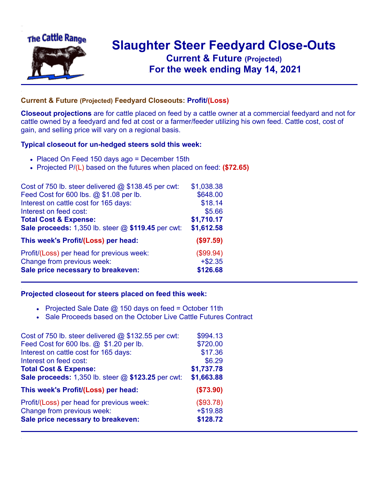

## **Slaughter Steer Feedyard Close-Outs Current & Future (Projected)** .**For the week ending May 14, 2021**

## **Current & Future (Projected) Feedyard Closeouts: Profit/(Loss)**

**Closeout projections** are for cattle placed on feed by a cattle owner at a commercial feedyard and not for cattle owned by a feedyard and fed at cost or a farmer/feeder utilizing his own feed. Cattle cost, cost of gain, and selling price will vary on a regional basis.

## **Typical closeout for un-hedged steers sold this week:**

- Placed On Feed 150 days ago = December 15th
- Projected P/(L) based on the futures when placed on feed: **(\$72.65)**

| Cost of 750 lb. steer delivered $@$ \$138.45 per cwt: | \$1,038.38 |
|-------------------------------------------------------|------------|
| Feed Cost for 600 lbs. @ \$1.08 per lb.               | \$648.00   |
| Interest on cattle cost for 165 days:                 | \$18.14    |
| Interest on feed cost:                                | \$5.66     |
| <b>Total Cost &amp; Expense:</b>                      | \$1,710.17 |
| Sale proceeds: 1,350 lb. steer @ \$119.45 per cwt:    | \$1,612.58 |
| This week's Profit/(Loss) per head:                   | (\$97.59)  |
| Profit/(Loss) per head for previous week:             | (\$99.94)  |
| Change from previous week:                            | $+ $2.35$  |
| Sale price necessary to breakeven:                    | \$126.68   |

## **Projected closeout for steers placed on feed this week:**

- Projected Sale Date  $@$  150 days on feed = October 11th
- Sale Proceeds based on the October Live Cattle Futures Contract

| Cost of 750 lb. steer delivered $@$ \$132.55 per cwt: | \$994.13   |
|-------------------------------------------------------|------------|
| Feed Cost for 600 lbs. @ \$1.20 per lb.               | \$720.00   |
| Interest on cattle cost for 165 days:                 | \$17.36    |
| Interest on feed cost:                                | \$6.29     |
| <b>Total Cost &amp; Expense:</b>                      | \$1,737.78 |
| Sale proceeds: 1,350 lb. steer @ \$123.25 per cwt:    | \$1,663.88 |
| This week's Profit/(Loss) per head:                   | (\$73.90)  |
| Profit/(Loss) per head for previous week:             | (\$93.78)  |
| Change from previous week:                            | $+ $19.88$ |
| Sale price necessary to breakeven:                    | \$128.72   |